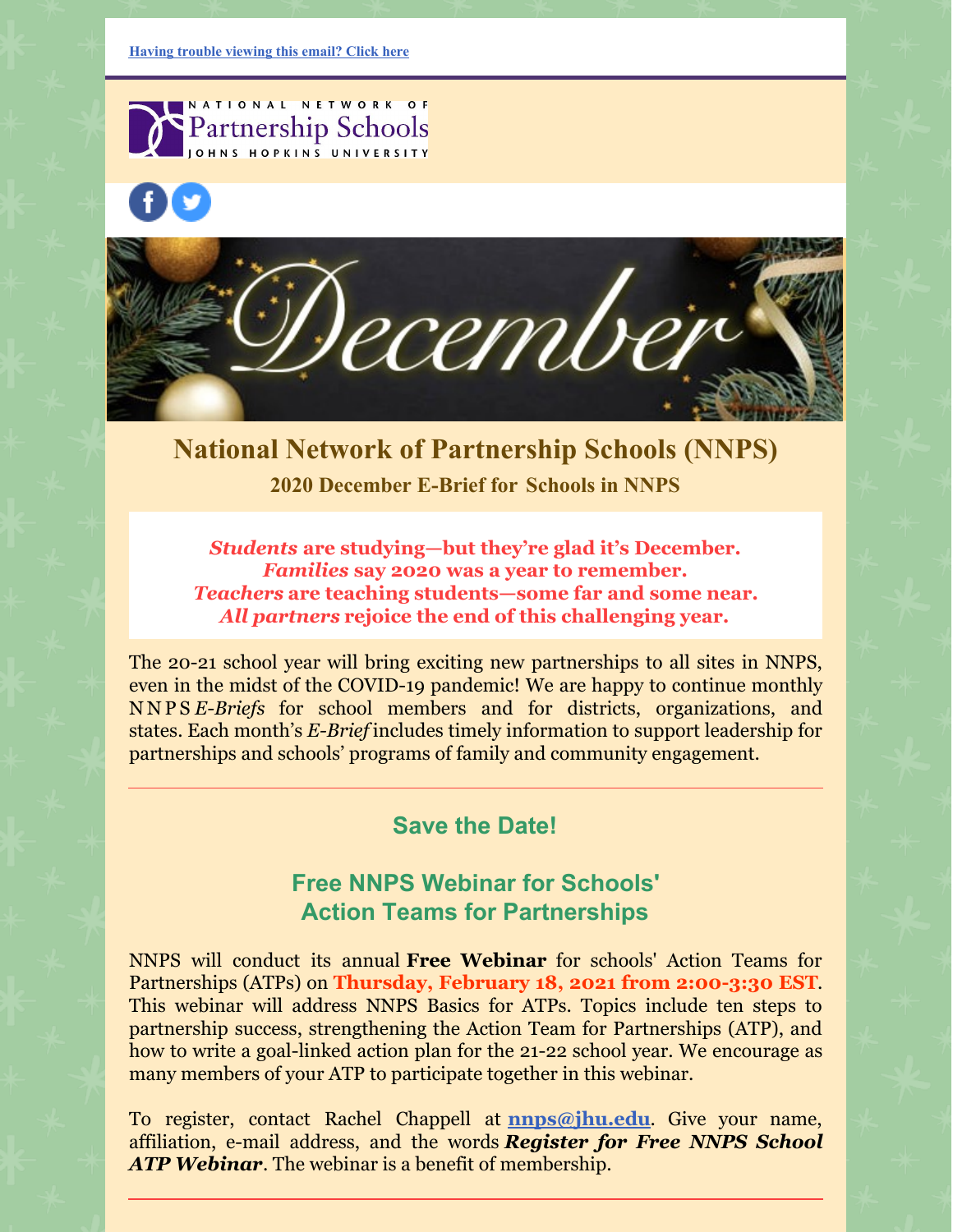NATIONAL NETWORK OF Partnership Schools OHNS HOPKINS UNIVERSITY





# **National Network of Partnership Schools (NNPS) 2020 December E-Brief for [Schools](https://ui.constantcontact.com/rnavmap/emcf/email/view?flow=view&camefrom=view&campaign=584f4ce7-c646-4f84-9174-5970413d58cc) in NNPS**

*Students* **are studying—but they're glad it's December.** *Families* **say 2020 was a year to remember.** *Teachers* **are teaching students—some far and some near.** *All partners* **rejoice the end of this challenging year.**

The 20-21 school year will bring exciting new partnerships to all sites in NNPS, even in the midst of the COVID-19 pandemic! We are happy to continue monthly N N P S *E-Briefs* for school members and for districts, organizations, and states. Each month's *E-Brief* includes timely information to support leadership for partnerships and schools' programs of family and community engagement.

## **Save the Date!**

# **Free NNPS Webinar for Schools' Action Teams for Partnerships**

NNPS will conduct its annual **Free Webinar** for schools' Action Teams for Partnerships (ATPs) on **Thursday, February 18, 2021 from 2:00-3:30 EST**. This webinar will address NNPS Basics for ATPs. Topics include ten steps to partnership success, strengthening the Action Team for Partnerships (ATP), and how to write a goal-linked action plan for the 21-22 school year. We encourage as many members of your ATP to participate together in this webinar.

To register, contact Rachel Chappell at **[nnps@jhu.edu](mailto:nnps@jhu.edu)**. Give your name, affiliation, e-mail address, and the words *Register for Free NNPS School ATP Webinar*. The webinar is a benefit of membership.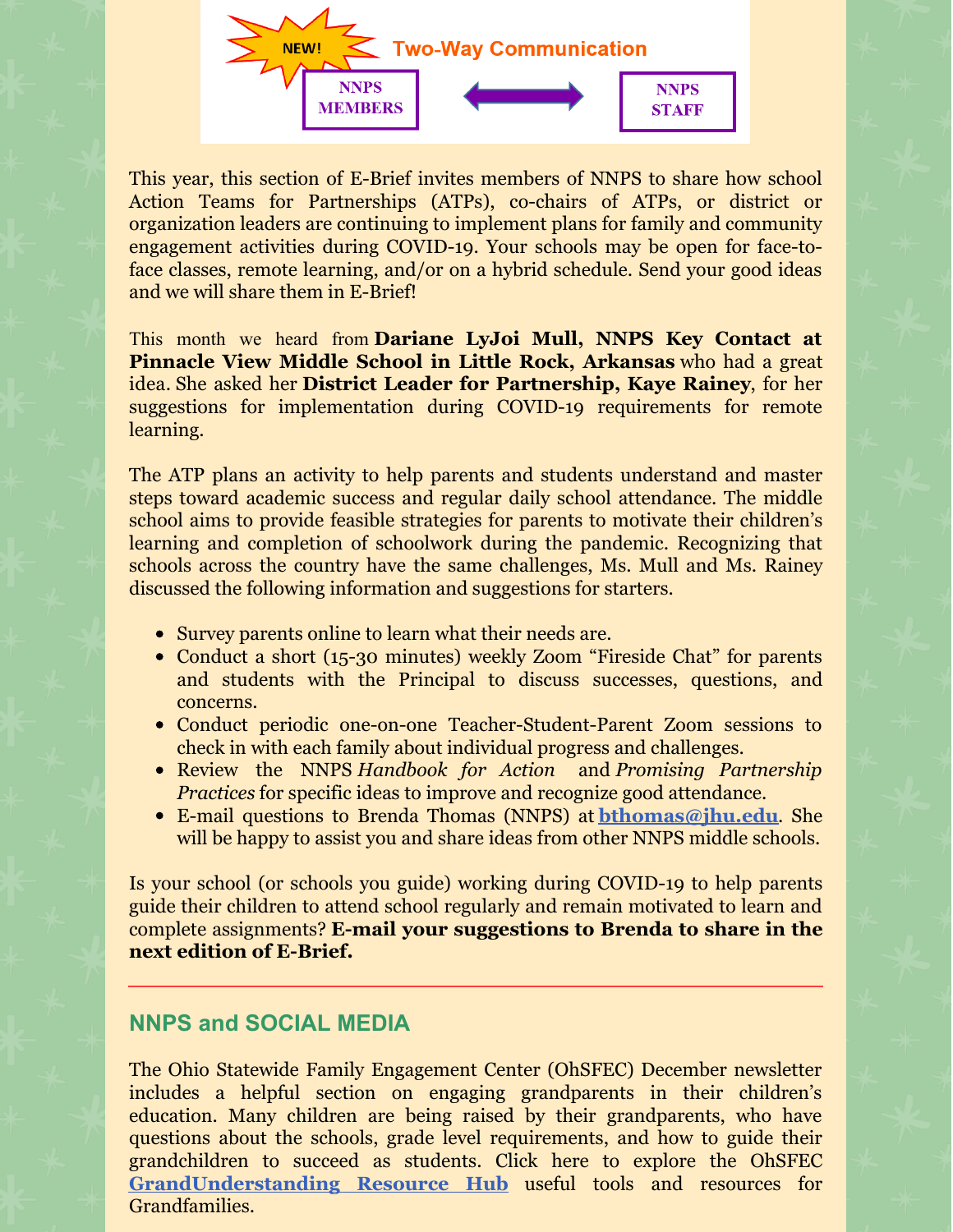

This year, this section of E-Brief invites members of NNPS to share how school Action Teams for Partnerships (ATPs), co-chairs of ATPs, or district or organization leaders are continuing to implement plans for family and community engagement activities during COVID-19. Your schools may be open for face-toface classes, remote learning, and/or on a hybrid schedule. Send your good ideas and we will share them in E-Brief!

This month we heard from **Dariane LyJoi Mull, NNPS Key Contact at Pinnacle View Middle School in Little Rock, Arkansas** who had a great idea. She asked her **District Leader for Partnership, Kaye Rainey**, for her suggestions for implementation during COVID-19 requirements for remote learning.

The ATP plans an activity to help parents and students understand and master steps toward academic success and regular daily school attendance. The middle school aims to provide feasible strategies for parents to motivate their children's learning and completion of schoolwork during the pandemic. Recognizing that schools across the country have the same challenges, Ms. Mull and Ms. Rainey discussed the following information and suggestions for starters.

- Survey parents online to learn what their needs are.
- Conduct a short (15-30 minutes) weekly Zoom "Fireside Chat" for parents and students with the Principal to discuss successes, questions, and concerns.
- Conduct periodic one-on-one Teacher-Student-Parent Zoom sessions to check in with each family about individual progress and challenges.
- Review the NNPS *Handbook for Action* and *Promising Partnership Practices* for specific ideas to improve and recognize good attendance.
- E-mail questions to Brenda Thomas (NNPS) at **[bthomas@jhu.edu](mailto:bthomas@jhu.edu)**. She will be happy to assist you and share ideas from other NNPS middle schools.

Is your school (or schools you guide) working during COVID-19 to help parents guide their children to attend school regularly and remain motivated to learn and complete assignments? **E-mail your suggestions to Brenda to share in the next edition of E-Brief.**

### **NNPS and SOCIAL MEDIA**

The Ohio Statewide Family Engagement Center (OhSFEC) December newsletter includes a helpful section on engaging grandparents in their children's education. Many children are being raised by their grandparents, who have questions about the schools, grade level requirements, and how to guide their grandchildren to succeed as students. Click here to explore the OhSFEC **[GrandUnderstanding](https://ohiofamiliesengage.osu.edu/grandunderstandings/) Resource Hub** useful tools and resources for Grandfamilies.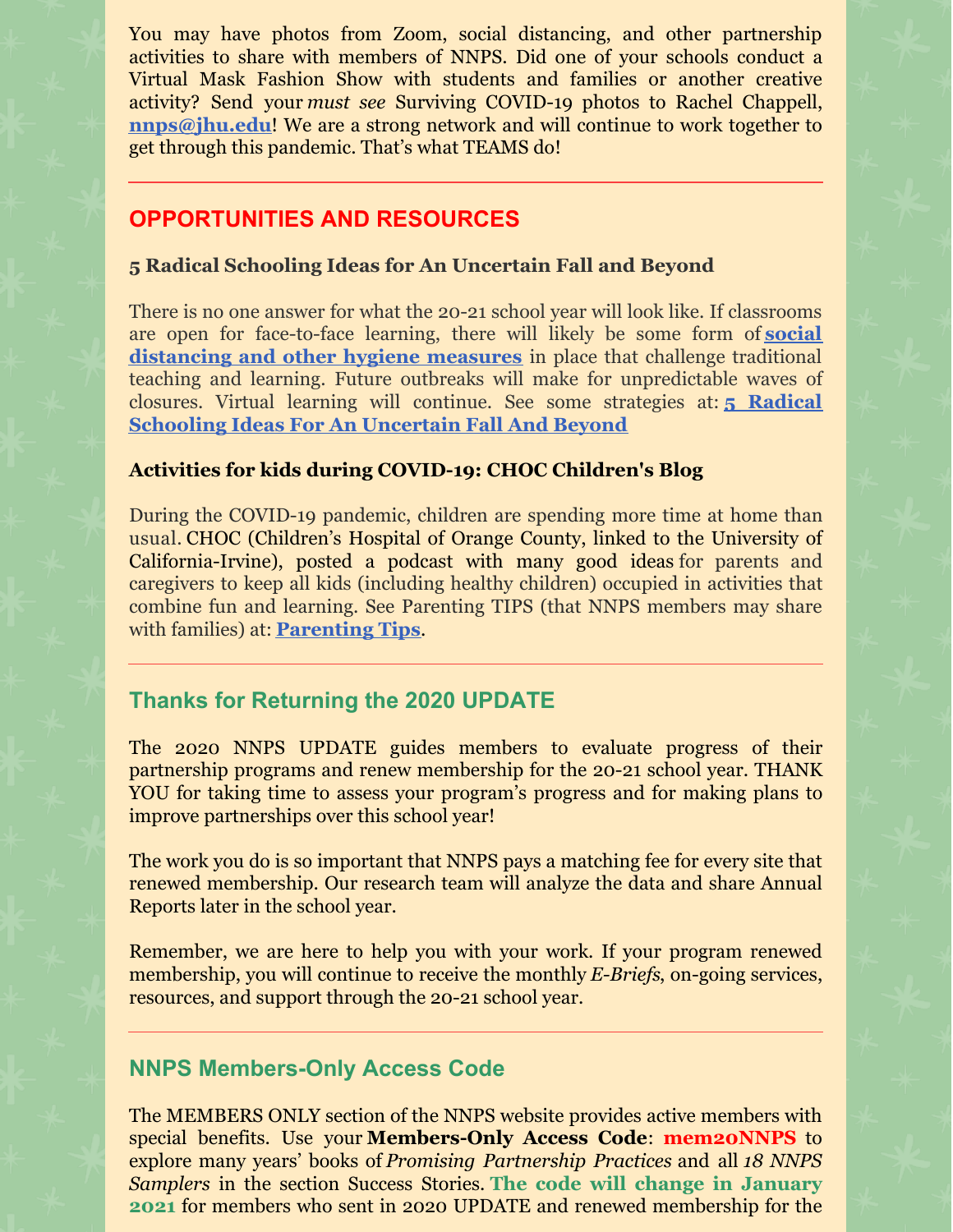You may have photos from Zoom, social distancing, and other partnership activities to share with members of NNPS. Did one of your schools conduct a Virtual Mask Fashion Show with students and families or another creative activity? Send your *must see* Surviving COVID-19 photos to Rachel Chappell, **[nnps@jhu.edu](mailto:nnps@jhu.edu)!** We are a strong network and will continue to work together to get through this pandemic. That's what TEAMS do!

### **OPPORTUNITIES AND RESOURCES**

#### **5 Radical Schooling Ideas for An Uncertain Fall and Beyond**

There is no one answer for what the 20-21 school year will look like. If classrooms are open for face-to-face learning, there will likely be some form of **social [distancing](https://www.npr.org/2020/04/24/842528906/what-it-might-look-like-to-safely-reopen-schools) and other hygiene measures** in place that challenge traditional teaching and learning. Future outbreaks will make for unpredictable waves of closures. Virtual learning will continue. See some strategies at: **5 Radical Schooling Ideas For An [Uncertain](https://www.npr.org/2020/06/17/878205853/5-radical-schooling-ideas-for-an-uncertain-fall-and-beyond) Fall And Beyond**

#### **Activities for kids during [COVID-19:](https://blog.chocchildrens.org/activity-ideas-for-kids-during-covid-19/) CHOC Children's Blog**

During the COVID-19 pandemic, children are spending more time at home than usual. CHOC (Children's Hospital of Orange County, linked to the University of California-Irvine), posted a podcast with many good ideas for parents and caregivers to keep all kids (including healthy children) occupied in activities that combine fun and learning. See Parenting TIPS (that NNPS members may share with families) at: **[Parenting](https://blog.chocchildrens.org/activity-ideas-for-kids-during-covid-19/) Tips**.

## **Thanks for Returning the 2020 UPDATE**

The 2020 NNPS UPDATE guides members to evaluate progress of their partnership programs and renew membership for the 20-21 school year. THANK YOU for taking time to assess your program's progress and for making plans to improve partnerships over this school year!

The work you do is so important that NNPS pays a matching fee for every site that renewed membership. Our research team will analyze the data and share Annual Reports later in the school year.

Remember, we are here to help you with your work. If your program renewed membership, you will continue to receive the monthly *E-Briefs*, on-going services, resources, and support through the 20-21 school year.

### **NNPS Members-Only Access Code**

The MEMBERS ONLY section of the NNPS website provides active members with special benefits. Use your **Members-Only Access Code**: **mem20NNPS** to explore many years' books of *Promising Partnership Practices* and all *18 NNPS Samplers* in the section Success Stories. **The code will change in January 2021** for members who sent in 2020 UPDATE and renewed membership for the